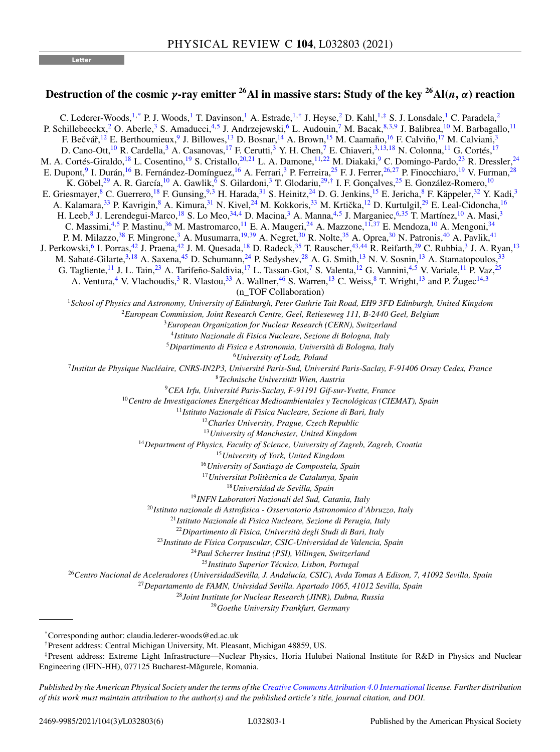**Letter**

## **Destruction of the cosmic** *γ***-ray emitter** <sup>26</sup>Al in massive stars: Study of the key <sup>26</sup>Al(*n*, *α*) reaction

C. Lederer-Woods,<sup>1,\*</sup> P. J. Woods,<sup>1</sup> T. Davinson,<sup>1</sup> A. Estrade,<sup>1,†</sup> J. Heyse,<sup>2</sup> D. Kahl,<sup>1,‡</sup> S. J. Lonsdale,<sup>1</sup> C. Paradela,<sup>2</sup> P. Schillebeeckx, <sup>2</sup> O. Aberle, <sup>3</sup> S. Amaducci, <sup>4,5</sup> J. Andrzejewski, <sup>6</sup> L. Audouin, <sup>7</sup> M. Bacak, <sup>8,3,9</sup> J. Balibrea, <sup>10</sup> M. Barbagallo, <sup>11</sup> F. Bečvář,<sup>12</sup> E. Berthoumieux,<sup>9</sup> J. Billowes,<sup>13</sup> D. Bosnar,<sup>14</sup> A. Brown,<sup>15</sup> M. Caamaño,<sup>16</sup> F. Calviño,<sup>17</sup> M. Calviani,<sup>3</sup> D. Cano-Ott,<sup>10</sup> R. Cardella,<sup>3</sup> A. Casanovas,<sup>17</sup> F. Cerutti,<sup>3</sup> Y. H. Chen,<sup>7</sup> E. Chiaveri,<sup>3,13,18</sup> N. Colonna,<sup>11</sup> G. Cortés,<sup>17</sup> M. A. Cortés-Giraldo,<sup>18</sup> L. Cosentino,<sup>19</sup> S. Cristallo,<sup>20,21</sup> L. A. Damone,<sup>11,22</sup> M. Diakaki,<sup>9</sup> C. Domingo-Pardo,<sup>23</sup> R. Dressler,<sup>24</sup> E. Dupont, <sup>9</sup> I. Durán, <sup>16</sup> B. Fernández-Domínguez, <sup>16</sup> A. Ferrari, <sup>3</sup> P. Ferreira, <sup>25</sup> F. J. Ferrer, <sup>26, 27</sup> P. Finocchiaro, <sup>19</sup> V. Furman, <sup>28</sup> K. Göbel,<sup>29</sup> A. R. García,<sup>10</sup> A. Gawlik,<sup>6</sup> S. Gilardoni,<sup>3</sup> T. Glodariu,<sup>29,†</sup> I. F. Gonçalves,<sup>25</sup> E. González-Romero,<sup>10</sup> E. Griesmayer, <sup>8</sup> C. Guerrero, <sup>18</sup> F. Gunsing, <sup>9,3</sup> H. Harada, <sup>[31](#page-1-0)</sup> S. Heinitz, <sup>24</sup> D. G. Jenkins, <sup>15</sup> E. Jericha, <sup>8</sup> F. Käppeler, <sup>32</sup> Y. Kadi, <sup>3</sup> A. Kalamara,<sup>[33](#page-1-0)</sup> P. Kavrigin,<sup>8</sup> A. Kimura,<sup>[31](#page-1-0)</sup> N. Kivel,<sup>24</sup> M. Kokkoris,<sup>33</sup> M. Krtička,<sup>12</sup> D. Kurtulgil,<sup>29</sup> E. Leal-Cidoncha,<sup>16</sup> H. Leeb,<sup>8</sup> J. Lerendegui-Marco,<sup>18</sup> S. Lo Meo,<sup>[34,](#page-1-0)4</sup> D. Macina,<sup>3</sup> A. Manna,<sup>4,5</sup> J. Marganiec,<sup>6[,35](#page-1-0)</sup> T. Martínez,<sup>10</sup> A. Masi,<sup>3</sup> C. Massimi,<sup>4,5</sup> P. Mastinu,<sup>[36](#page-1-0)</sup> M. Mastromarco,<sup>11</sup> E. A. Maugeri,<sup>24</sup> A. Mazzone,<sup>11[,37](#page-1-0)</sup> E. Mendoza,<sup>10</sup> A. Mengoni,<sup>[34](#page-1-0)</sup> P. M. Milazzo,<sup>[38](#page-1-0)</sup> F. Mingrone,<sup>3</sup> A. Musumarra,<sup>19[,39](#page-1-0)</sup> A. Negret,<sup>[30](#page-1-0)</sup> R. Nolte,<sup>[35](#page-1-0)</sup> A. Oprea,<sup>30</sup> N. Patronis,<sup>[40](#page-1-0)</sup> A. Pavlik,<sup>[41](#page-1-0)</sup> J. Perkowski, <sup>6</sup> I. Porras, <sup>42</sup> J. Praena, <sup>42</sup> J. M. Quesada, <sup>18</sup> D. Radeck, <sup>35</sup> T. Rauscher, <sup>43, 44</sup> R. Reifarth, <sup>29</sup> C. Rubbia, <sup>3</sup> J. A. Ryan, <sup>13</sup> M. Sabaté-Gilarte,<sup>3,18</sup> A. Saxena,<sup>[45](#page-1-0)</sup> D. Schumann,<sup>24</sup> P. Sedyshev,<sup>28</sup> A. G. Smith,<sup>13</sup> N. V. Sosnin,<sup>13</sup> A. Stamatopoulos,<sup>[33](#page-1-0)</sup> G. Tagliente, <sup>11</sup> J. L. Tain, <sup>23</sup> A. Tarifeño-Saldivia, <sup>17</sup> L. Tassan-Got, <sup>7</sup> S. Valenta, <sup>12</sup> G. Vannini, <sup>4,5</sup> V. Variale, <sup>11</sup> P. Vaz, <sup>25</sup> A. Ventura,<sup>4</sup> V. Vlachoudis,<sup>3</sup> R. Vlastou,<sup>[33](#page-1-0)</sup> A. Wallner,<sup>[46](#page-1-0)</sup> S. Warren,<sup>13</sup> C. Weiss,<sup>8</sup> T. Wright,<sup>13</sup> and P. Žugec<sup>14,3</sup> (n\_TOF Collaboration) *School of Physics and Astronomy, University of Edinburgh, Peter Guthrie Tait Road, EH9 3FD Edinburgh, United Kingdom European Commission, Joint Research Centre, Geel, Retieseweg 111, B-2440 Geel, Belgium European Organization for Nuclear Research (CERN), Switzerland Istituto Nazionale di Fisica Nucleare, Sezione di Bologna, Italy Dipartimento di Fisica e Astronomia, Università di Bologna, Italy University of Lodz, Poland Institut de Physique Nucléaire, CNRS-IN2P3, Université Paris-Sud, Université Paris-Saclay, F-91406 Orsay Cedex, France Technische Universität Wien, Austria CEA Irfu, Université Paris-Saclay, F-91191 Gif-sur-Yvette, France Centro de Investigaciones Energéticas Medioambientales y Tecnológicas (CIEMAT), Spain Istituto Nazionale di Fisica Nucleare, Sezione di Bari, Italy Charles University, Prague, Czech Republic University of Manchester, United Kingdom Department of Physics, Faculty of Science, University of Zagreb, Zagreb, Croatia University of York, United Kingdom University of Santiago de Compostela, Spain Universitat Politècnica de Catalunya, Spain Universidad de Sevilla, Spain INFN Laboratori Nazionali del Sud, Catania, Italy Istituto nazionale di Astrofisica - Osservatorio Astronomico d'Abruzzo, Italy Istituto Nazionale di Fisica Nucleare, Sezione di Perugia, Italy Dipartimento di Fisica, Università degli Studi di Bari, Italy Instituto de Física Corpuscular, CSIC-Universidad de Valencia, Spain Paul Scherrer Institut (PSI), Villingen, Switzerland Instituto Superior Técnico, Lisbon, Portugal Centro Nacional de Aceleradores (UniversidadSevilla, J. Andalucía, CSIC), Avda Tomas A Edison, 7, 41092 Sevilla, Spain Departamento de FAMN, Univsidad Sevilla. Apartado 1065, 41012 Sevilla, Spain Joint Institute for Nuclear Research (JINR), Dubna, Russia*

<sup>29</sup>*Goethe University Frankfurt, Germany*

<sup>\*</sup>Corresponding author: claudia.lederer-woods@ed.ac.uk

<sup>†</sup>Present address: Central Michigan University, Mt. Pleasant, Michigan 48859, US.

<sup>‡</sup>Present address: Extreme Light Infrastructure—Nuclear Physics, Horia Hulubei National Institute for R&D in Physics and Nuclear Engineering (IFIN-HH), 077125 Bucharest-Măgurele, Romania.

*Published by the American Physical Society under the terms of the [Creative Commons Attribution 4.0 International](https://creativecommons.org/licenses/by/4.0/) license. Further distribution of this work must maintain attribution to the author(s) and the published article's title, journal citation, and DOI.*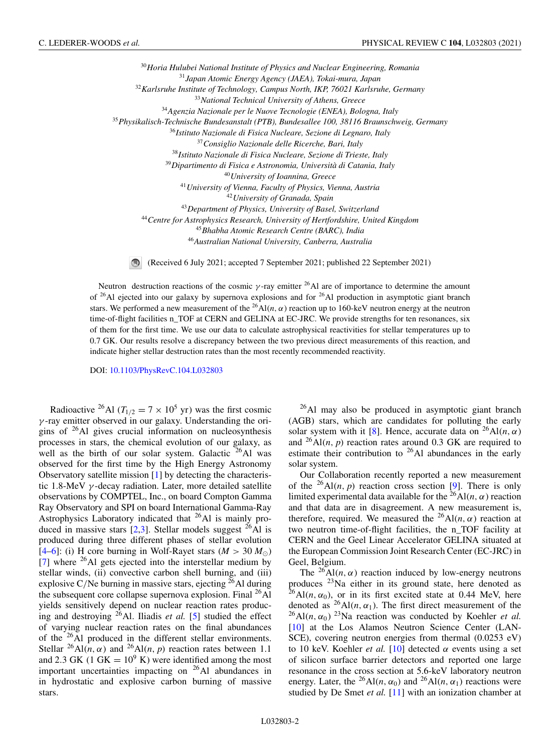<span id="page-1-0"></span>*Horia Hulubei National Institute of Physics and Nuclear Engineering, Romania Japan Atomic Energy Agency (JAEA), Tokai-mura, Japan Karlsruhe Institute of Technology, Campus North, IKP, 76021 Karlsruhe, Germany National Technical University of Athens, Greece Agenzia Nazionale per le Nuove Tecnologie (ENEA), Bologna, Italy Physikalisch-Technische Bundesanstalt (PTB), Bundesallee 100, 38116 Braunschweig, Germany Istituto Nazionale di Fisica Nucleare, Sezione di Legnaro, Italy Consiglio Nazionale delle Ricerche, Bari, Italy Istituto Nazionale di Fisica Nucleare, Sezione di Trieste, Italy Dipartimento di Fisica e Astronomia, Università di Catania, Italy University of Ioannina, Greece University of Vienna, Faculty of Physics, Vienna, Austria University of Granada, Spain Department of Physics, University of Basel, Switzerland Centre for Astrophysics Research, University of Hertfordshire, United Kingdom Bhabha Atomic Research Centre (BARC), India Australian National University, Canberra, Australia*

 $\circ$ (Received 6 July 2021; accepted 7 September 2021; published 22 September 2021)

Neutron destruction reactions of the cosmic  $\gamma$ -ray emitter <sup>26</sup>Al are of importance to determine the amount of  $26$ Al ejected into our galaxy by supernova explosions and for  $26$ Al production in asymptotic giant branch stars. We performed a new measurement of the <sup>26</sup>Al(*n*,  $\alpha$ ) reaction up to 160-keV neutron energy at the neutron time-of-flight facilities n\_TOF at CERN and GELINA at EC-JRC. We provide strengths for ten resonances, six of them for the first time. We use our data to calculate astrophysical reactivities for stellar temperatures up to 0.7 GK. Our results resolve a discrepancy between the two previous direct measurements of this reaction, and indicate higher stellar destruction rates than the most recently recommended reactivity.

DOI: [10.1103/PhysRevC.104.L032803](https://doi.org/10.1103/PhysRevC.104.L032803)

Radioactive <sup>26</sup>Al ( $T_{1/2} = 7 \times 10^5$  yr) was the first cosmic  $\gamma$ -ray emitter observed in our galaxy. Understanding the origins of  $26$ Al gives crucial information on nucleosynthesis processes in stars, the chemical evolution of our galaxy, as well as the birth of our solar system. Galactic  $^{26}$ Al was observed for the first time by the High Energy Astronomy Observatory satellite mission [\[1\]](#page-5-0) by detecting the characteristic 1.8-MeV  $\gamma$ -decay radiation. Later, more detailed satellite observations by COMPTEL, Inc., on board Compton Gamma Ray Observatory and SPI on board International Gamma-Ray Astrophysics Laboratory indicated that  $^{26}$ Al is mainly produced in massive stars  $[2,3]$ . Stellar models suggest <sup>26</sup>Al is produced during three different phases of stellar evolution  $[4-6]$ : (i) H core burning in Wolf-Rayet stars ( $M > 30 M_{\odot}$ )  $[7]$  where <sup>26</sup>Al gets ejected into the interstellar medium by stellar winds, (ii) convective carbon shell burning, and (iii) explosive C/Ne burning in massive stars, ejecting  $^{26}$ Al during the subsequent core collapse supernova explosion. Final  $^{26}$ Al yields sensitively depend on nuclear reaction rates producing and destroying 26Al. Iliadis *et al.* [\[5\]](#page-5-0) studied the effect of varying nuclear reaction rates on the final abundances of the 26Al produced in the different stellar environments. Stellar  ${}^{26}$ Al(*n*,  $\alpha$ ) and  ${}^{26}$ Al(*n*, *p*) reaction rates between 1.1 and 2.3 GK (1 GK =  $10^9$  K) were identified among the most important uncertainties impacting on  $26$ Al abundances in in hydrostatic and explosive carbon burning of massive stars.

26Al may also be produced in asymptotic giant branch (AGB) stars, which are candidates for polluting the early solar system with it [\[8\]](#page-5-0). Hence, accurate data on  $^{26}$ Al(*n*,  $\alpha$ ) and  $^{26}$ Al(*n*, *p*) reaction rates around 0.3 GK are required to estimate their contribution to <sup>26</sup>Al abundances in the early solar system.

Our Collaboration recently reported a new measurement of the  $^{26}$ Al(*n*, *p*) reaction cross section [\[9\]](#page-5-0). There is only limited experimental data available for the  ${}^{26}$ Al(*n*,  $\alpha$ ) reaction and that data are in disagreement. A new measurement is, therefore, required. We measured the <sup>26</sup>Al(*n*,  $\alpha$ ) reaction at two neutron time-of-flight facilities, the n\_TOF facility at CERN and the Geel Linear Accelerator GELINA situated at the European Commission Joint Research Center (EC-JRC) in Geel, Belgium.

The <sup>26</sup>Al(*n*,  $\alpha$ ) reaction induced by low-energy neutrons produces  $23$ Na either in its ground state, here denoted as  $^{26}$ Al(*n*,  $\alpha_0$ ), or in its first excited state at 0.44 MeV, here denoted as  ${}^{26}$ Al(*n*,  $\alpha_1$ ). The first direct measurement of the  $^{26}$ Al(*n*,  $\alpha_0$ ) <sup>23</sup>Na reaction was conducted by Koehler *et al.* [\[10\]](#page-5-0) at the Los Alamos Neutron Science Center (LAN-SCE), covering neutron energies from thermal (0.0253 eV) to 10 keV. Koehler *et al.* [\[10\]](#page-5-0) detected  $\alpha$  events using a set of silicon surface barrier detectors and reported one large resonance in the cross section at 5.6-keV laboratory neutron energy. Later, the <sup>26</sup>Al(*n*,  $\alpha_0$ ) and <sup>26</sup>Al(*n*,  $\alpha_1$ ) reactions were studied by De Smet *et al.* [\[11\]](#page-5-0) with an ionization chamber at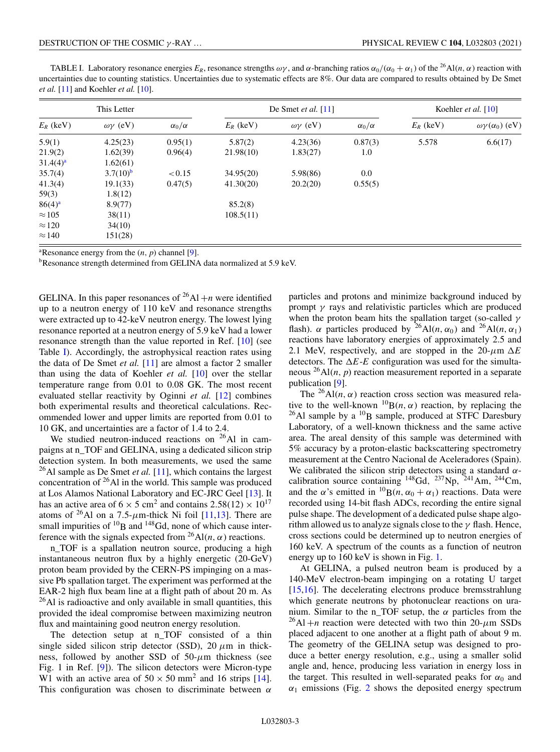<span id="page-2-0"></span>TABLE I. Laboratory resonance energies  $E_R$ , resonance strengths  $\omega\gamma$ , and  $\alpha$ -branching ratios  $\alpha_0/(\alpha_0 + \alpha_1)$  of the <sup>26</sup>Al(*n*,  $\alpha$ ) reaction with uncertainties due to counting statistics. Uncertainties due to systematic effects are 8%. Our data are compared to results obtained by De Smet *et al.* [\[11\]](#page-5-0) and Koehler *et al.* [\[10\]](#page-5-0).

| This Letter   |                     |                   | De Smet et al. $[11]$ |                     |                   | Koehler et al. [10] |                               |
|---------------|---------------------|-------------------|-----------------------|---------------------|-------------------|---------------------|-------------------------------|
| $E_R$ (keV)   | $\omega\gamma$ (eV) | $\alpha_0/\alpha$ | $E_R$ (keV)           | $\omega\gamma$ (eV) | $\alpha_0/\alpha$ | $E_R$ (keV)         | $\omega\gamma(\alpha_0)$ (eV) |
| 5.9(1)        | 4.25(23)            | 0.95(1)           | 5.87(2)               | 4.23(36)            | 0.87(3)           | 5.578               | 6.6(17)                       |
| 21.9(2)       | 1.62(39)            | 0.96(4)           | 21.98(10)             | 1.83(27)            | 1.0               |                     |                               |
| $31.4(4)^a$   | 1.62(61)            |                   |                       |                     |                   |                     |                               |
| 35.7(4)       | $3.7(10)^b$         | < 0.15            | 34.95(20)             | 5.98(86)            | 0.0               |                     |                               |
| 41.3(4)       | 19.1(33)            | 0.47(5)           | 41.30(20)             | 20.2(20)            | 0.55(5)           |                     |                               |
| 59(3)         | 1.8(12)             |                   |                       |                     |                   |                     |                               |
| $86(4)^a$     | 8.9(77)             |                   | 85.2(8)               |                     |                   |                     |                               |
| $\approx$ 105 | 38(11)              |                   | 108.5(11)             |                     |                   |                     |                               |
| $\approx$ 120 | 34(10)              |                   |                       |                     |                   |                     |                               |
| $\approx$ 140 | 151(28)             |                   |                       |                     |                   |                     |                               |

<sup>a</sup>Resonance energy from the  $(n, p)$  channel [\[9\]](#page-5-0).

bResonance strength determined from GELINA data normalized at 5.9 keV.

GELINA. In this paper resonances of  $^{26}$ Al +*n* were identified up to a neutron energy of 110 keV and resonance strengths were extracted up to 42-keV neutron energy. The lowest lying resonance reported at a neutron energy of 5.9 keV had a lower resonance strength than the value reported in Ref. [\[10\]](#page-5-0) (see Table I). Accordingly, the astrophysical reaction rates using the data of De Smet *et al.* [\[11\]](#page-5-0) are almost a factor 2 smaller than using the data of Koehler *et al.* [\[10\]](#page-5-0) over the stellar temperature range from 0.01 to 0.08 GK. The most recent evaluated stellar reactivity by Oginni *et al.* [\[12\]](#page-5-0) combines both experimental results and theoretical calculations. Recommended lower and upper limits are reported from 0.01 to 10 GK, and uncertainties are a factor of 1.4 to 2.4.

We studied neutron-induced reactions on  $^{26}$ Al in campaigns at n\_TOF and GELINA, using a dedicated silicon strip detection system. In both measurements, we used the same <sup>26</sup>Al sample as De Smet *et al.* [\[11\]](#page-5-0), which contains the largest concentration of  $26$ Al in the world. This sample was produced at Los Alamos National Laboratory and EC-JRC Geel [\[13\]](#page-5-0). It has an active area of  $6 \times 5$  cm<sup>2</sup> and contains  $2.58(12) \times 10^{17}$ atoms of <sup>26</sup>Al on a 7.5- $\mu$ m-thick Ni foil [\[11,13\]](#page-5-0). There are small impurities of  ${}^{10}B$  and  ${}^{148}Gd$ , none of which cause interference with the signals expected from <sup>26</sup>Al(*n*,  $\alpha$ ) reactions.

n\_TOF is a spallation neutron source, producing a high instantaneous neutron flux by a highly energetic (20-GeV) proton beam provided by the CERN-PS impinging on a massive Pb spallation target. The experiment was performed at the EAR-2 high flux beam line at a flight path of about 20 m. As  $^{26}$ Al is radioactive and only available in small quantities, this provided the ideal compromise between maximizing neutron flux and maintaining good neutron energy resolution.

The detection setup at n\_TOF consisted of a thin single sided silicon strip detector (SSD), 20  $\mu$ m in thickness, followed by another SSD of  $50-\mu m$  thickness (see Fig. 1 in Ref. [\[9\]](#page-5-0)). The silicon detectors were Micron-type W1 with an active area of  $50 \times 50$  mm<sup>2</sup> and 16 strips [\[14\]](#page-5-0). This configuration was chosen to discriminate between  $\alpha$ 

particles and protons and minimize background induced by prompt  $\gamma$  rays and relativistic particles which are produced when the proton beam hits the spallation target (so-called  $\gamma$ flash).  $\alpha$  particles produced by <sup>26</sup>Al(*n*,  $\alpha_0$ ) and <sup>26</sup>Al(*n*,  $\alpha_1$ ) reactions have laboratory energies of approximately 2.5 and 2.1 MeV, respectively, and are stopped in the  $20-\mu m \Delta E$ detectors. The  $\Delta E$ -*E* configuration was used for the simultaneous  $^{26}$ Al(*n*, *p*) reaction measurement reported in a separate publication [\[9\]](#page-5-0).

The <sup>26</sup>Al(*n*,  $\alpha$ ) reaction cross section was measured relative to the well-known  $^{10}B(n, \alpha)$  reaction, by replacing the  $^{26}$ Al sample by a  $^{10}$ B sample, produced at STFC Daresbury Laboratory, of a well-known thickness and the same active area. The areal density of this sample was determined with 5% accuracy by a proton-elastic backscattering spectrometry measurement at the Centro Nacional de Aceleradores (Spain). We calibrated the silicon strip detectors using a standard  $\alpha$ calibration source containing  $^{148}$ Gd,  $^{237}$ Np,  $^{241}$ Am,  $^{244}$ Cm, and the  $\alpha$ 's emitted in <sup>10</sup>B(*n*,  $\alpha_0 + \alpha_1$ ) reactions. Data were recorded using 14-bit flash ADCs, recording the entire signal pulse shape. The development of a dedicated pulse shape algorithm allowed us to analyze signals close to the  $\gamma$  flash. Hence, cross sections could be determined up to neutron energies of 160 keV. A spectrum of the counts as a function of neutron energy up to 160 keV is shown in Fig. [1.](#page-3-0)

At GELINA, a pulsed neutron beam is produced by a 140-MeV electron-beam impinging on a rotating U target [\[15,16\]](#page-5-0). The decelerating electrons produce bremsstrahlung which generate neutrons by photonuclear reactions on uranium. Similar to the n\_TOF setup, the  $\alpha$  particles from the  $^{26}$ Al +*n* reaction were detected with two thin 20- $\mu$ m SSDs placed adjacent to one another at a flight path of about 9 m. The geometry of the GELINA setup was designed to produce a better energy resolution, e.g., using a smaller solid angle and, hence, producing less variation in energy loss in the target. This resulted in well-separated peaks for  $\alpha_0$  and  $\alpha_1$  emissions (Fig. [2](#page-3-0) shows the deposited energy spectrum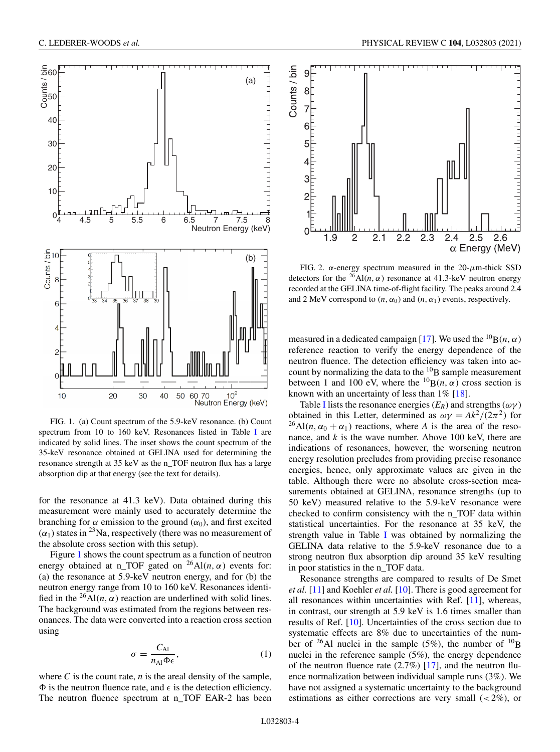<span id="page-3-0"></span>

FIG. 1. (a) Count spectrum of the 5.9-keV resonance. (b) Count spectrum from 10 to 160 keV. Resonances listed in Table [I](#page-2-0) are indicated by solid lines. The inset shows the count spectrum of the 35-keV resonance obtained at GELINA used for determining the resonance strength at 35 keV as the n\_TOF neutron flux has a large absorption dip at that energy (see the text for details).

for the resonance at 41.3 keV). Data obtained during this measurement were mainly used to accurately determine the branching for  $\alpha$  emission to the ground  $(\alpha_0)$ , and first excited  $(\alpha_1)$  states in <sup>23</sup>Na, respectively (there was no measurement of the absolute cross section with this setup).

Figure 1 shows the count spectrum as a function of neutron energy obtained at n\_TOF gated on  $^{26}$ Al(*n*,  $\alpha$ ) events for: (a) the resonance at 5.9-keV neutron energy, and for (b) the neutron energy range from 10 to 160 keV. Resonances identified in the <sup>26</sup>Al(*n*,  $\alpha$ ) reaction are underlined with solid lines. The background was estimated from the regions between resonances. The data were converted into a reaction cross section using

$$
\sigma = \frac{C_{\text{Al}}}{n_{\text{Al}}\Phi\epsilon},\tag{1}
$$

where  $C$  is the count rate,  $n$  is the areal density of the sample,  $\Phi$  is the neutron fluence rate, and  $\epsilon$  is the detection efficiency. The neutron fluence spectrum at n\_TOF EAR-2 has been



FIG. 2.  $\alpha$ -energy spectrum measured in the 20- $\mu$ m-thick SSD detectors for the <sup>26</sup>Al(*n*,  $\alpha$ ) resonance at 41.3-keV neutron energy recorded at the GELINA time-of-flight facility. The peaks around 2.4 and 2 MeV correspond to  $(n, \alpha_0)$  and  $(n, \alpha_1)$  events, respectively.

measured in a dedicated campaign [\[17\]](#page-5-0). We used the <sup>10</sup>B(*n*,  $\alpha$ ) reference reaction to verify the energy dependence of the neutron fluence. The detection efficiency was taken into account by normalizing the data to the  ${}^{10}B$  sample measurement between 1 and 100 eV, where the  ${}^{10}B(n, \alpha)$  cross section is known with an uncertainty of less than 1% [\[18\]](#page-5-0).

Table [I](#page-2-0) lists the resonance energies  $(E_R)$  and strengths  $(\omega \gamma)$ obtained in this Letter, determined as  $\omega \gamma = Ak^2/(2\pi^2)$  for <sup>26</sup>Al(*n*,  $\alpha_0 + \alpha_1$ ) reactions, where *A* is the area of the resonance, and *k* is the wave number. Above 100 keV, there are indications of resonances, however, the worsening neutron energy resolution precludes from providing precise resonance energies, hence, only approximate values are given in the table. Although there were no absolute cross-section measurements obtained at GELINA, resonance strengths (up to 50 keV) measured relative to the 5.9-keV resonance were checked to confirm consistency with the n\_TOF data within statistical uncertainties. For the resonance at 35 keV, the strength value in Table [I](#page-2-0) was obtained by normalizing the GELINA data relative to the 5.9-keV resonance due to a strong neutron flux absorption dip around 35 keV resulting in poor statistics in the n\_TOF data.

Resonance strengths are compared to results of De Smet *et al.* [\[11\]](#page-5-0) and Koehler *et al.* [\[10\]](#page-5-0). There is good agreement for all resonances within uncertainties with Ref. [\[11\]](#page-5-0), whereas, in contrast, our strength at 5.9 keV is 1.6 times smaller than results of Ref. [\[10\]](#page-5-0). Uncertainties of the cross section due to systematic effects are 8% due to uncertainties of the number of <sup>26</sup>Al nuclei in the sample (5%), the number of <sup>10</sup>B nuclei in the reference sample (5%), the energy dependence of the neutron fluence rate  $(2.7%)$  [\[17\]](#page-5-0), and the neutron fluence normalization between individual sample runs (3%). We have not assigned a systematic uncertainty to the background estimations as either corrections are very small  $( $2\%$ ), or$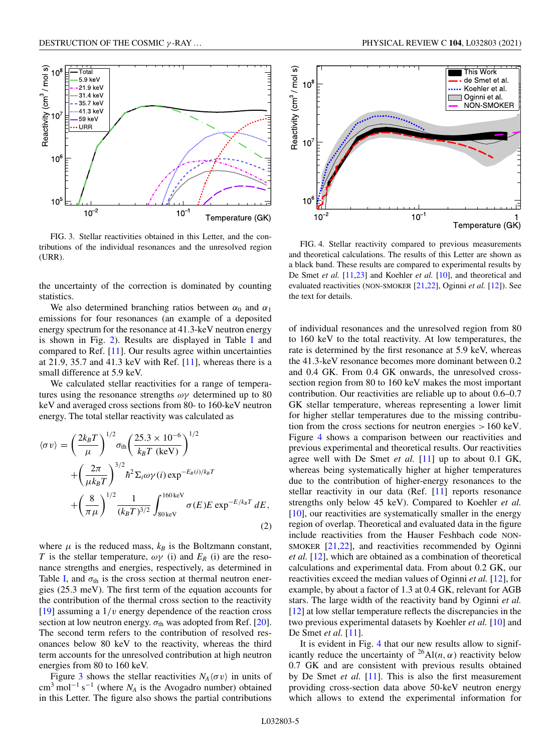

FIG. 3. Stellar reactivities obtained in this Letter, and the contributions of the individual resonances and the unresolved region (URR).

the uncertainty of the correction is dominated by counting statistics.

We also determined branching ratios between  $\alpha_0$  and  $\alpha_1$ emissions for four resonances (an example of a deposited energy spectrum for the resonance at 41.3-keV neutron energy is shown in Fig. [2\)](#page-3-0). Results are displayed in Table [I](#page-2-0) and compared to Ref. [\[11\]](#page-5-0). Our results agree within uncertainties at 21.9, 35.7 and 41.3 keV with Ref. [\[11\]](#page-5-0), whereas there is a small difference at 5.9 keV.

We calculated stellar reactivities for a range of temperatures using the resonance strengths  $\omega\gamma$  determined up to 80 keV and averaged cross sections from 80- to 160-keV neutron energy. The total stellar reactivity was calculated as

$$
\langle \sigma v \rangle = \left(\frac{2k_B T}{\mu}\right)^{1/2} \sigma_{\text{th}} \left(\frac{25.3 \times 10^{-6}}{k_B T \text{ (keV)}}\right)^{1/2} + \left(\frac{2\pi}{\mu k_B T}\right)^{3/2} \hbar^2 \Sigma_i \omega \gamma(i) \exp^{-E_R(i)/k_B T} + \left(\frac{8}{\pi \mu}\right)^{1/2} \frac{1}{(k_B T)^{3/2}} \int_{80 \text{ keV}}^{160 \text{ keV}} \sigma(E) E \exp^{-E/k_B T} dE,
$$
\n(2)

where  $\mu$  is the reduced mass,  $k_B$  is the Boltzmann constant, *T* is the stellar temperature,  $\omega \gamma$  (i) and  $E_R$  (i) are the resonance strengths and energies, respectively, as determined in Table [I,](#page-2-0) and  $\sigma_{\text{th}}$  is the cross section at thermal neutron energies (25.3 meV). The first term of the equation accounts for the contribution of the thermal cross section to the reactivity [\[19\]](#page-5-0) assuming a  $1/v$  energy dependence of the reaction cross section at low neutron energy.  $\sigma_{th}$  was adopted from Ref. [\[20\]](#page-5-0). The second term refers to the contribution of resolved resonances below 80 keV to the reactivity, whereas the third term accounts for the unresolved contribution at high neutron energies from 80 to 160 keV.

Figure 3 shows the stellar reactivities  $N_A \langle \sigma v \rangle$  in units of cm<sup>3</sup> mol−<sup>1</sup> s−<sup>1</sup> (where *NA* is the Avogadro number) obtained in this Letter. The figure also shows the partial contributions



FIG. 4. Stellar reactivity compared to previous measurements and theoretical calculations. The results of this Letter are shown as a black band. These results are compared to experimental results by De Smet *et al.* [\[11,23\]](#page-5-0) and Koehler *et al.* [\[10\]](#page-5-0), and theoretical and evaluated reactivities (NON-SMOKER [\[21,22\]](#page-5-0), Oginni *et al.* [\[12\]](#page-5-0)). See the text for details.

of individual resonances and the unresolved region from 80 to 160 keV to the total reactivity. At low temperatures, the rate is determined by the first resonance at 5.9 keV, whereas the 41.3-keV resonance becomes more dominant between 0.2 and 0.4 GK. From 0.4 GK onwards, the unresolved crosssection region from 80 to 160 keV makes the most important contribution. Our reactivities are reliable up to about 0.6–0.7 GK stellar temperature, whereas representing a lower limit for higher stellar temperatures due to the missing contribution from the cross sections for neutron energies >160 keV. Figure 4 shows a comparison between our reactivities and previous experimental and theoretical results. Our reactivities agree well with De Smet *et al.* [\[11\]](#page-5-0) up to about 0.1 GK, whereas being systematically higher at higher temperatures due to the contribution of higher-energy resonances to the stellar reactivity in our data (Ref. [\[11\]](#page-5-0) reports resonance strengths only below 45 keV). Compared to Koehler *et al.* [\[10\]](#page-5-0), our reactivities are systematically smaller in the energy region of overlap. Theoretical and evaluated data in the figure include reactivities from the Hauser Feshbach code NON-SMOKER [\[21,22\]](#page-5-0), and reactivities recommended by Oginni *et al.* [\[12\]](#page-5-0), which are obtained as a combination of theoretical calculations and experimental data. From about 0.2 GK, our reactivities exceed the median values of Oginni *et al.* [\[12\]](#page-5-0), for example, by about a factor of 1.3 at 0.4 GK, relevant for AGB stars. The large width of the reactivity band by Oginni *et al.* [\[12\]](#page-5-0) at low stellar temperature reflects the discrepancies in the two previous experimental datasets by Koehler *et al.* [\[10\]](#page-5-0) and De Smet *et al.* [\[11\]](#page-5-0).

It is evident in Fig. 4 that our new results allow to significantly reduce the uncertainty of <sup>26</sup>Al(*n*,  $\alpha$ ) reactivity below 0.7 GK and are consistent with previous results obtained by De Smet *et al.* [\[11\]](#page-5-0). This is also the first measurement providing cross-section data above 50-keV neutron energy which allows to extend the experimental information for